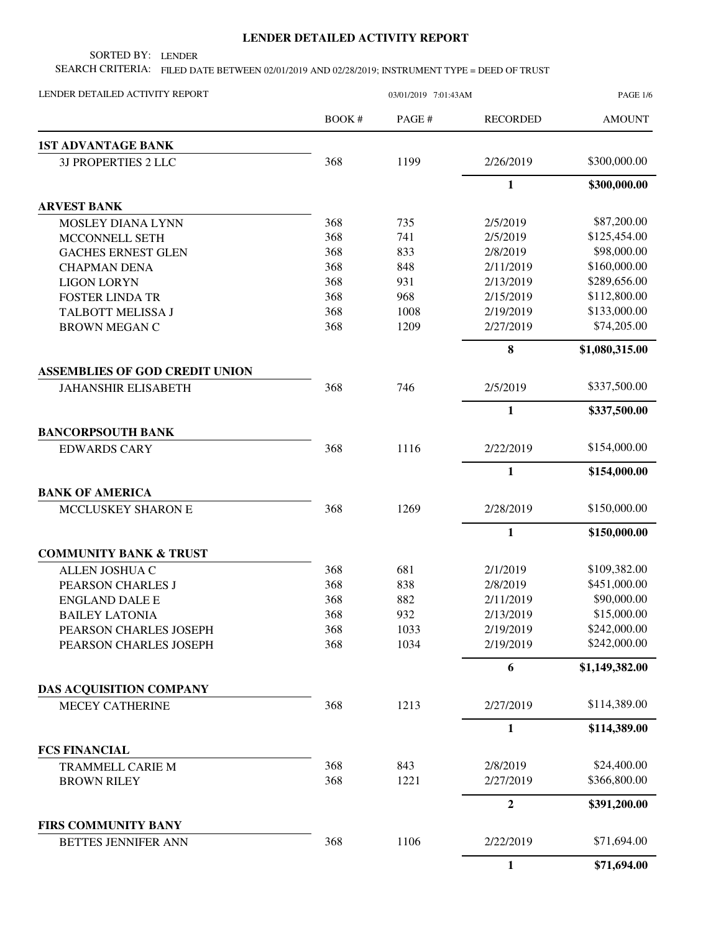## **LENDER DETAILED ACTIVITY REPORT**

SORTED BY: LENDER

SEARCH CRITERIA: FILED DATE BETWEEN 02/01/2019 AND 02/28/2019; INSTRUMENT TYPE = DEED OF TRUST

| LENDER DETAILED ACTIVITY REPORT       | 03/01/2019 7:01:43AM |       |                 | <b>PAGE 1/6</b> |
|---------------------------------------|----------------------|-------|-----------------|-----------------|
|                                       | BOOK#                | PAGE# | <b>RECORDED</b> | <b>AMOUNT</b>   |
| <b>1ST ADVANTAGE BANK</b>             |                      |       |                 |                 |
| 3J PROPERTIES 2 LLC                   | 368                  | 1199  | 2/26/2019       | \$300,000.00    |
|                                       |                      |       | $\mathbf{1}$    | \$300,000.00    |
| <b>ARVEST BANK</b>                    |                      |       |                 |                 |
| MOSLEY DIANA LYNN                     | 368                  | 735   | 2/5/2019        | \$87,200.00     |
| MCCONNELL SETH                        | 368                  | 741   | 2/5/2019        | \$125,454.00    |
| <b>GACHES ERNEST GLEN</b>             | 368                  | 833   | 2/8/2019        | \$98,000.00     |
| <b>CHAPMAN DENA</b>                   | 368                  | 848   | 2/11/2019       | \$160,000.00    |
| <b>LIGON LORYN</b>                    | 368                  | 931   | 2/13/2019       | \$289,656.00    |
| <b>FOSTER LINDA TR</b>                | 368                  | 968   | 2/15/2019       | \$112,800.00    |
| TALBOTT MELISSA J                     | 368                  | 1008  | 2/19/2019       | \$133,000.00    |
| <b>BROWN MEGAN C</b>                  | 368                  | 1209  | 2/27/2019       | \$74,205.00     |
|                                       |                      |       | 8               | \$1,080,315.00  |
| <b>ASSEMBLIES OF GOD CREDIT UNION</b> |                      |       |                 |                 |
| <b>JAHANSHIR ELISABETH</b>            | 368                  | 746   | 2/5/2019        | \$337,500.00    |
|                                       |                      |       | $\mathbf{1}$    | \$337,500.00    |
| <b>BANCORPSOUTH BANK</b>              |                      |       |                 |                 |
| <b>EDWARDS CARY</b>                   | 368                  | 1116  | 2/22/2019       | \$154,000.00    |
|                                       |                      |       | $\mathbf{1}$    | \$154,000.00    |
| <b>BANK OF AMERICA</b>                |                      |       |                 |                 |
| MCCLUSKEY SHARON E                    | 368                  | 1269  | 2/28/2019       | \$150,000.00    |
|                                       |                      |       | 1               | \$150,000.00    |
| <b>COMMUNITY BANK &amp; TRUST</b>     |                      |       |                 |                 |
| ALLEN JOSHUA C                        | 368                  | 681   | 2/1/2019        | \$109,382.00    |
| PEARSON CHARLES J                     | 368                  | 838   | 2/8/2019        | \$451,000.00    |
| <b>ENGLAND DALE E</b>                 | 368                  | 882   | 2/11/2019       | \$90,000.00     |
| <b>BAILEY LATONIA</b>                 | 368                  | 932   | 2/13/2019       | \$15,000.00     |
| PEARSON CHARLES JOSEPH                | 368                  | 1033  | 2/19/2019       | \$242,000.00    |
| PEARSON CHARLES JOSEPH                | 368                  | 1034  | 2/19/2019       | \$242,000.00    |
|                                       |                      |       | 6               | \$1,149,382.00  |
| DAS ACQUISITION COMPANY               |                      |       |                 |                 |
| <b>MECEY CATHERINE</b>                | 368                  | 1213  | 2/27/2019       | \$114,389.00    |
|                                       |                      |       | $\mathbf{1}$    | \$114,389.00    |
| <b>FCS FINANCIAL</b>                  |                      |       |                 |                 |
| <b>TRAMMELL CARIE M</b>               | 368                  | 843   | 2/8/2019        | \$24,400.00     |
| <b>BROWN RILEY</b>                    | 368                  | 1221  | 2/27/2019       | \$366,800.00    |
|                                       |                      |       | $\mathbf{2}$    | \$391,200.00    |
| <b>FIRS COMMUNITY BANY</b>            |                      |       |                 |                 |
| <b>BETTES JENNIFER ANN</b>            | 368                  | 1106  | 2/22/2019       | \$71,694.00     |
|                                       |                      |       | 1               | \$71,694.00     |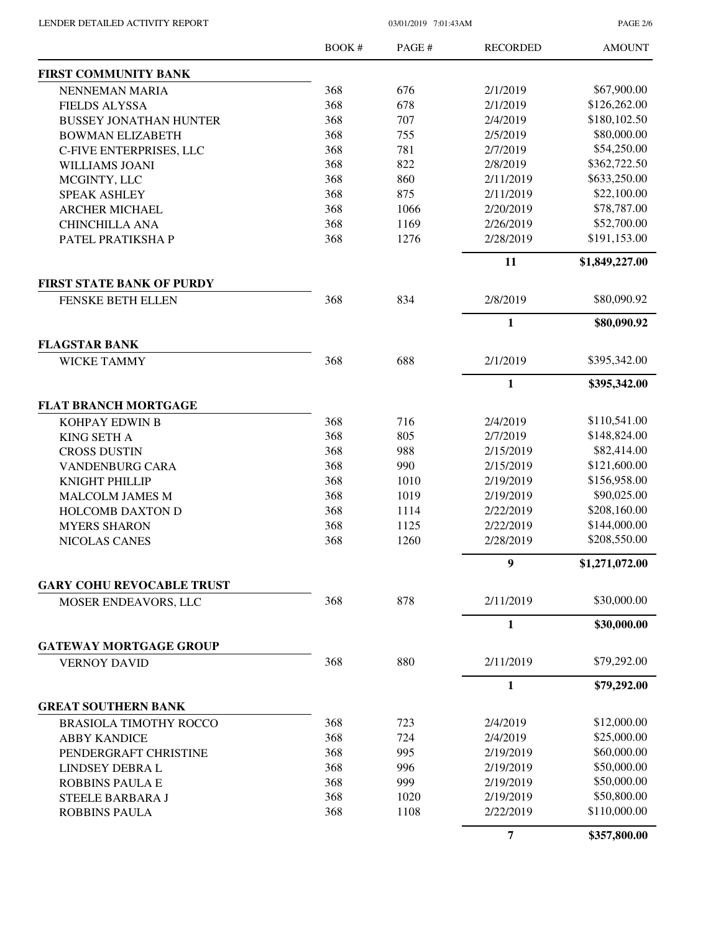| LENDER DETAILED ACTIVITY REPORT |  |
|---------------------------------|--|
|                                 |  |

03/01/2019 7:01:43AM

PAGE 2/6

|                                            | BOOK# | PAGE # | <b>RECORDED</b> | <b>AMOUNT</b>  |
|--------------------------------------------|-------|--------|-----------------|----------------|
| <b>FIRST COMMUNITY BANK</b>                |       |        |                 |                |
| NENNEMAN MARIA                             | 368   | 676    | 2/1/2019        | \$67,900.00    |
| <b>FIELDS ALYSSA</b>                       | 368   | 678    | 2/1/2019        | \$126,262.00   |
| <b>BUSSEY JONATHAN HUNTER</b>              | 368   | 707    | 2/4/2019        | \$180,102.50   |
| <b>BOWMAN ELIZABETH</b>                    | 368   | 755    | 2/5/2019        | \$80,000.00    |
| C-FIVE ENTERPRISES, LLC                    | 368   | 781    | 2/7/2019        | \$54,250.00    |
| <b>WILLIAMS JOANI</b>                      | 368   | 822    | 2/8/2019        | \$362,722.50   |
| MCGINTY, LLC                               | 368   | 860    | 2/11/2019       | \$633,250.00   |
| <b>SPEAK ASHLEY</b>                        | 368   | 875    | 2/11/2019       | \$22,100.00    |
| <b>ARCHER MICHAEL</b>                      | 368   | 1066   | 2/20/2019       | \$78,787.00    |
| <b>CHINCHILLA ANA</b>                      | 368   | 1169   | 2/26/2019       | \$52,700.00    |
| PATEL PRATIKSHA P                          | 368   | 1276   | 2/28/2019       | \$191,153.00   |
|                                            |       |        | 11              | \$1,849,227.00 |
| <b>FIRST STATE BANK OF PURDY</b>           |       |        |                 |                |
| FENSKE BETH ELLEN                          | 368   | 834    | 2/8/2019        | \$80,090.92    |
|                                            |       |        | $\mathbf{1}$    | \$80,090.92    |
| <b>FLAGSTAR BANK</b><br><b>WICKE TAMMY</b> | 368   | 688    | 2/1/2019        | \$395,342.00   |
|                                            |       |        | 1               | \$395,342.00   |
| <b>FLAT BRANCH MORTGAGE</b>                |       |        |                 |                |
| KOHPAY EDWIN B                             | 368   | 716    | 2/4/2019        | \$110,541.00   |
| <b>KING SETH A</b>                         | 368   | 805    | 2/7/2019        | \$148,824.00   |
| <b>CROSS DUSTIN</b>                        | 368   | 988    | 2/15/2019       | \$82,414.00    |
| <b>VANDENBURG CARA</b>                     | 368   | 990    | 2/15/2019       | \$121,600.00   |
| KNIGHT PHILLIP                             | 368   | 1010   | 2/19/2019       | \$156,958.00   |
| <b>MALCOLM JAMES M</b>                     | 368   | 1019   | 2/19/2019       | \$90,025.00    |
| <b>HOLCOMB DAXTON D</b>                    | 368   | 1114   | 2/22/2019       | \$208,160.00   |
| <b>MYERS SHARON</b>                        | 368   | 1125   | 2/22/2019       | \$144,000.00   |
| NICOLAS CANES                              | 368   | 1260   | 2/28/2019       | \$208,550.00   |
|                                            |       |        | 9               | \$1,271,072.00 |
| <b>GARY COHU REVOCABLE TRUST</b>           |       |        |                 |                |
| MOSER ENDEAVORS, LLC                       | 368   | 878    | 2/11/2019       | \$30,000.00    |
|                                            |       |        | $\mathbf{1}$    | \$30,000.00    |
| <b>GATEWAY MORTGAGE GROUP</b>              |       |        |                 |                |
| <b>VERNOY DAVID</b>                        | 368   | 880    | 2/11/2019       | \$79,292.00    |
|                                            |       |        | 1               | \$79,292.00    |
| <b>GREAT SOUTHERN BANK</b>                 |       |        |                 |                |
| <b>BRASIOLA TIMOTHY ROCCO</b>              | 368   | 723    | 2/4/2019        | \$12,000.00    |
| <b>ABBY KANDICE</b>                        | 368   | 724    | 2/4/2019        | \$25,000.00    |
| PENDERGRAFT CHRISTINE                      | 368   | 995    | 2/19/2019       | \$60,000.00    |
| LINDSEY DEBRA L                            | 368   | 996    | 2/19/2019       | \$50,000.00    |
| <b>ROBBINS PAULA E</b>                     | 368   | 999    | 2/19/2019       | \$50,000.00    |
| <b>STEELE BARBARA J</b>                    | 368   | 1020   | 2/19/2019       | \$50,800.00    |
| <b>ROBBINS PAULA</b>                       | 368   | 1108   | 2/22/2019       | \$110,000.00   |
|                                            |       |        | 7               | \$357,800.00   |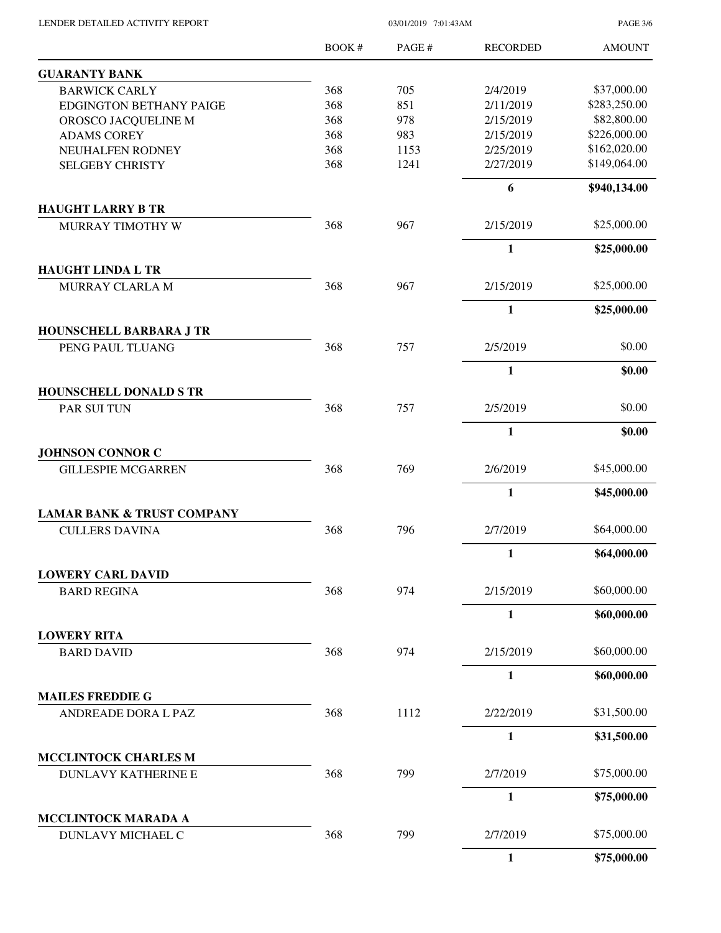| LENDER DETAILED ACTIVITY REPORT                      |       | <b>PAGE 3/6</b> |                 |               |
|------------------------------------------------------|-------|-----------------|-----------------|---------------|
|                                                      | BOOK# | PAGE#           | <b>RECORDED</b> | <b>AMOUNT</b> |
| <b>GUARANTY BANK</b>                                 |       |                 |                 |               |
| <b>BARWICK CARLY</b>                                 | 368   | 705             | 2/4/2019        | \$37,000.00   |
| <b>EDGINGTON BETHANY PAIGE</b>                       | 368   | 851             | 2/11/2019       | \$283,250.00  |
| OROSCO JACQUELINE M                                  | 368   | 978             | 2/15/2019       | \$82,800.00   |
| <b>ADAMS COREY</b>                                   | 368   | 983             | 2/15/2019       | \$226,000.00  |
| NEUHALFEN RODNEY                                     | 368   | 1153            | 2/25/2019       | \$162,020.00  |
| <b>SELGEBY CHRISTY</b>                               | 368   | 1241            | 2/27/2019       | \$149,064.00  |
|                                                      |       |                 | 6               | \$940,134.00  |
| <b>HAUGHT LARRY B TR</b>                             | 368   | 967             | 2/15/2019       | \$25,000.00   |
| MURRAY TIMOTHY W                                     |       |                 |                 |               |
| <b>HAUGHT LINDA L TR</b>                             |       |                 | $\mathbf{1}$    | \$25,000.00   |
| MURRAY CLARLA M                                      | 368   | 967             | 2/15/2019       | \$25,000.00   |
|                                                      |       |                 | $\mathbf{1}$    | \$25,000.00   |
| HOUNSCHELL BARBARA J TR                              |       |                 |                 |               |
| PENG PAUL TLUANG                                     | 368   | 757             | 2/5/2019        | \$0.00        |
|                                                      |       |                 | $\mathbf{1}$    | \$0.00        |
| <b>HOUNSCHELL DONALD S TR</b>                        |       |                 |                 |               |
| PAR SUI TUN                                          | 368   | 757             | 2/5/2019        | \$0.00        |
|                                                      |       |                 | $\mathbf{1}$    | \$0.00        |
| <b>JOHNSON CONNOR C</b><br><b>GILLESPIE MCGARREN</b> | 368   | 769             | 2/6/2019        | \$45,000.00   |
|                                                      |       |                 | $\mathbf{1}$    | \$45,000.00   |
| <b>LAMAR BANK &amp; TRUST COMPANY</b>                |       |                 |                 |               |
| <b>CULLERS DAVINA</b>                                | 368   | 796             | 2/7/2019        | \$64,000.00   |
|                                                      |       |                 | $\mathbf{1}$    | \$64,000.00   |
| <b>LOWERY CARL DAVID</b>                             |       |                 |                 |               |
| <b>BARD REGINA</b>                                   | 368   | 974             | 2/15/2019       | \$60,000.00   |
|                                                      |       |                 | 1               | \$60,000.00   |
| <b>LOWERY RITA</b><br><b>BARD DAVID</b>              | 368   | 974             | 2/15/2019       | \$60,000.00   |
|                                                      |       |                 | 1               | \$60,000.00   |
| <b>MAILES FREDDIE G</b>                              |       |                 |                 |               |
| ANDREADE DORA L PAZ                                  | 368   | 1112            | 2/22/2019       | \$31,500.00   |
|                                                      |       |                 | $\mathbf{1}$    | \$31,500.00   |
| <b>MCCLINTOCK CHARLES M</b>                          |       |                 |                 |               |
| <b>DUNLAVY KATHERINE E</b>                           | 368   | 799             | 2/7/2019        | \$75,000.00   |
|                                                      |       |                 | 1               | \$75,000.00   |
| MCCLINTOCK MARADA A<br>DUNLAVY MICHAEL C             | 368   | 799             | 2/7/2019        | \$75,000.00   |
|                                                      |       |                 | $\mathbf{1}$    | \$75,000.00   |
|                                                      |       |                 |                 |               |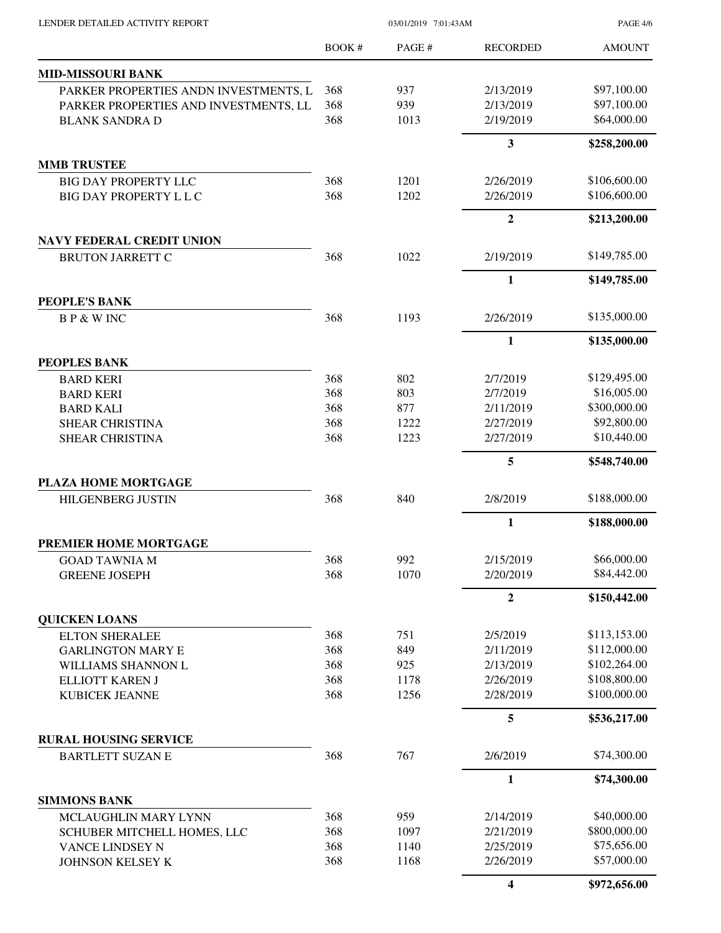| LENDER DETAILED ACTIVITY REPORT |  |  |
|---------------------------------|--|--|
|                                 |  |  |

03/01/2019 7:01:43AM

PAGE 4/6

|                                               | <b>BOOK#</b> | PAGE#       | <b>RECORDED</b>        | <b>AMOUNT</b>              |
|-----------------------------------------------|--------------|-------------|------------------------|----------------------------|
| <b>MID-MISSOURI BANK</b>                      |              |             |                        |                            |
| PARKER PROPERTIES ANDN INVESTMENTS, L         | 368          | 937         | 2/13/2019              | \$97,100.00                |
| PARKER PROPERTIES AND INVESTMENTS, LL         | 368          | 939         | 2/13/2019              | \$97,100.00                |
| <b>BLANK SANDRA D</b>                         | 368          | 1013        | 2/19/2019              | \$64,000.00                |
|                                               |              |             | 3                      | \$258,200.00               |
| <b>MMB TRUSTEE</b>                            |              |             |                        |                            |
| <b>BIG DAY PROPERTY LLC</b>                   | 368          | 1201        | 2/26/2019              | \$106,600.00               |
| <b>BIG DAY PROPERTY L L C</b>                 | 368          | 1202        | 2/26/2019              | \$106,600.00               |
|                                               |              |             | $\overline{2}$         | \$213,200.00               |
| <b>NAVY FEDERAL CREDIT UNION</b>              |              |             |                        |                            |
| <b>BRUTON JARRETT C</b>                       | 368          | 1022        | 2/19/2019              | \$149,785.00               |
|                                               |              |             | $\mathbf{1}$           | \$149,785.00               |
| <b>PEOPLE'S BANK</b><br><b>BP &amp; WINC</b>  | 368          | 1193        | 2/26/2019              | \$135,000.00               |
|                                               |              |             |                        |                            |
|                                               |              |             | 1                      | \$135,000.00               |
| <b>PEOPLES BANK</b>                           | 368          | 802         | 2/7/2019               | \$129,495.00               |
| <b>BARD KERI</b><br><b>BARD KERI</b>          | 368          | 803         | 2/7/2019               | \$16,005.00                |
| <b>BARD KALI</b>                              | 368          | 877         | 2/11/2019              | \$300,000.00               |
| SHEAR CHRISTINA                               | 368          | 1222        | 2/27/2019              | \$92,800.00                |
| SHEAR CHRISTINA                               | 368          | 1223        | 2/27/2019              | \$10,440.00                |
|                                               |              |             |                        |                            |
|                                               |              |             | 5                      | \$548,740.00               |
| PLAZA HOME MORTGAGE                           | 368          | 840         | 2/8/2019               | \$188,000.00               |
| <b>HILGENBERG JUSTIN</b>                      |              |             |                        |                            |
|                                               |              |             | $\mathbf{1}$           | \$188,000.00               |
| <b>PREMIER HOME MORTGAGE</b>                  |              |             |                        |                            |
| <b>GOAD TAWNIA M</b><br><b>GREENE JOSEPH</b>  | 368<br>368   | 992<br>1070 | 2/15/2019<br>2/20/2019 | \$66,000.00<br>\$84,442.00 |
|                                               |              |             |                        |                            |
|                                               |              |             | $\boldsymbol{2}$       | \$150,442.00               |
| <b>QUICKEN LOANS</b><br><b>ELTON SHERALEE</b> | 368          | 751         | 2/5/2019               | \$113,153.00               |
| <b>GARLINGTON MARY E</b>                      | 368          | 849         | 2/11/2019              | \$112,000.00               |
| WILLIAMS SHANNON L                            | 368          | 925         | 2/13/2019              | \$102,264.00               |
| ELLIOTT KAREN J                               | 368          | 1178        | 2/26/2019              | \$108,800.00               |
| KUBICEK JEANNE                                | 368          | 1256        | 2/28/2019              | \$100,000.00               |
|                                               |              |             | 5                      | \$536,217.00               |
| <b>RURAL HOUSING SERVICE</b>                  |              |             |                        |                            |
| <b>BARTLETT SUZAN E</b>                       | 368          | 767         | 2/6/2019               | \$74,300.00                |
|                                               |              |             | $\mathbf{1}$           | \$74,300.00                |
| <b>SIMMONS BANK</b>                           |              |             |                        |                            |
| MCLAUGHLIN MARY LYNN                          | 368          | 959         | 2/14/2019              | \$40,000.00                |
| SCHUBER MITCHELL HOMES, LLC                   | 368          | 1097        | 2/21/2019              | \$800,000.00               |
| VANCE LINDSEY N                               | 368          | 1140        | 2/25/2019              | \$75,656.00                |
| JOHNSON KELSEY K                              | 368          | 1168        | 2/26/2019              | \$57,000.00                |
|                                               |              |             | $\boldsymbol{4}$       | \$972,656.00               |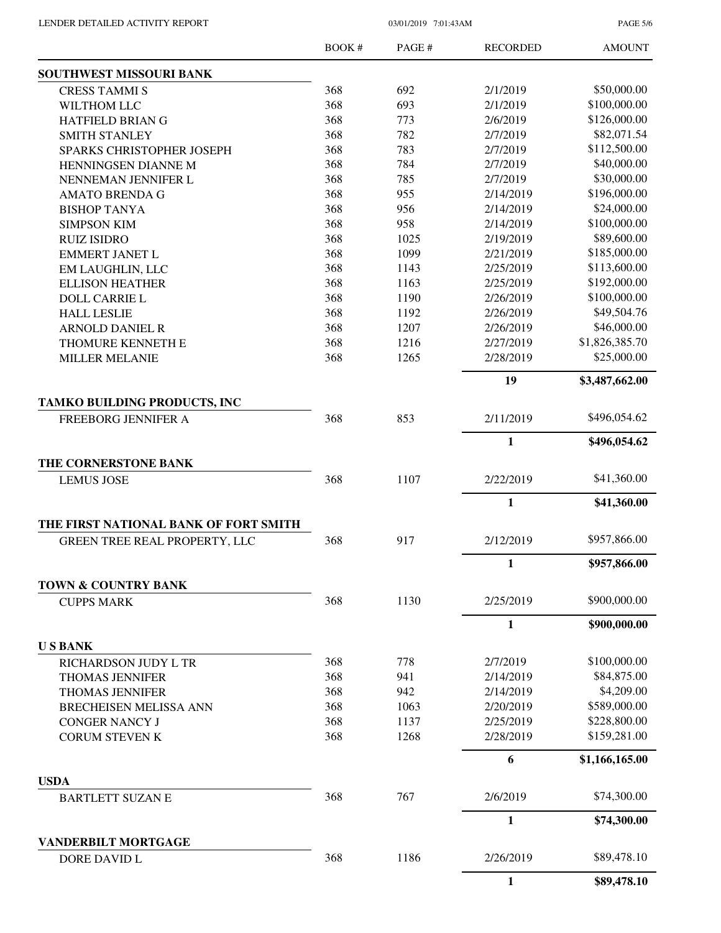PAGE 5/6

|                                        | <b>BOOK#</b> | PAGE # | <b>RECORDED</b> | <b>AMOUNT</b>  |
|----------------------------------------|--------------|--------|-----------------|----------------|
| SOUTHWEST MISSOURI BANK                |              |        |                 |                |
| <b>CRESS TAMMI S</b>                   | 368          | 692    | 2/1/2019        | \$50,000.00    |
| WILTHOM LLC                            | 368          | 693    | 2/1/2019        | \$100,000.00   |
| HATFIELD BRIAN G                       | 368          | 773    | 2/6/2019        | \$126,000.00   |
| <b>SMITH STANLEY</b>                   | 368          | 782    | 2/7/2019        | \$82,071.54    |
| SPARKS CHRISTOPHER JOSEPH              | 368          | 783    | 2/7/2019        | \$112,500.00   |
| HENNINGSEN DIANNE M                    | 368          | 784    | 2/7/2019        | \$40,000.00    |
| NENNEMAN JENNIFER L                    | 368          | 785    | 2/7/2019        | \$30,000.00    |
| <b>AMATO BRENDA G</b>                  | 368          | 955    | 2/14/2019       | \$196,000.00   |
| <b>BISHOP TANYA</b>                    | 368          | 956    | 2/14/2019       | \$24,000.00    |
| <b>SIMPSON KIM</b>                     | 368          | 958    | 2/14/2019       | \$100,000.00   |
| <b>RUIZ ISIDRO</b>                     | 368          | 1025   | 2/19/2019       | \$89,600.00    |
| <b>EMMERT JANET L</b>                  | 368          | 1099   | 2/21/2019       | \$185,000.00   |
| EM LAUGHLIN, LLC                       | 368          | 1143   | 2/25/2019       | \$113,600.00   |
| <b>ELLISON HEATHER</b>                 | 368          | 1163   | 2/25/2019       | \$192,000.00   |
| <b>DOLL CARRIE L</b>                   | 368          | 1190   | 2/26/2019       | \$100,000.00   |
| <b>HALL LESLIE</b>                     | 368          | 1192   | 2/26/2019       | \$49,504.76    |
| <b>ARNOLD DANIEL R</b>                 | 368          | 1207   | 2/26/2019       | \$46,000.00    |
| THOMURE KENNETH E                      | 368          | 1216   | 2/27/2019       | \$1,826,385.70 |
| <b>MILLER MELANIE</b>                  | 368          | 1265   | 2/28/2019       | \$25,000.00    |
|                                        |              |        | 19              | \$3,487,662.00 |
| TAMKO BUILDING PRODUCTS, INC           |              |        |                 |                |
| FREEBORG JENNIFER A                    | 368          | 853    | 2/11/2019       | \$496,054.62   |
|                                        |              |        | $\mathbf{1}$    | \$496,054.62   |
| THE CORNERSTONE BANK                   |              |        |                 |                |
| <b>LEMUS JOSE</b>                      | 368          | 1107   | 2/22/2019       | \$41,360.00    |
|                                        |              |        | $\mathbf{1}$    | \$41,360.00    |
| THE FIRST NATIONAL BANK OF FORT SMITH  |              |        |                 |                |
| GREEN TREE REAL PROPERTY, LLC          | 368          | 917    | 2/12/2019       | \$957,866.00   |
|                                        |              |        | 1               | \$957,866.00   |
| <b>TOWN &amp; COUNTRY BANK</b>         |              |        |                 |                |
| <b>CUPPS MARK</b>                      | 368          | 1130   | 2/25/2019       | \$900,000.00   |
|                                        |              |        | 1               | \$900,000.00   |
| <b>USBANK</b><br>RICHARDSON JUDY L TR  | 368          | 778    | 2/7/2019        | \$100,000.00   |
|                                        | 368          |        |                 | \$84,875.00    |
| <b>THOMAS JENNIFER</b>                 |              | 941    | 2/14/2019       | \$4,209.00     |
| <b>THOMAS JENNIFER</b>                 | 368          | 942    | 2/14/2019       | \$589,000.00   |
| <b>BRECHEISEN MELISSA ANN</b>          | 368          | 1063   | 2/20/2019       |                |
| <b>CONGER NANCY J</b>                  | 368          | 1137   | 2/25/2019       | \$228,800.00   |
| <b>CORUM STEVEN K</b>                  | 368          | 1268   | 2/28/2019       | \$159,281.00   |
|                                        |              |        | 6               | \$1,166,165.00 |
| <b>USDA</b><br><b>BARTLETT SUZAN E</b> | 368          | 767    | 2/6/2019        | \$74,300.00    |
|                                        |              |        | $\mathbf{1}$    | \$74,300.00    |
| <b>VANDERBILT MORTGAGE</b>             |              |        |                 |                |
| DORE DAVID L                           | 368          | 1186   | 2/26/2019       | \$89,478.10    |
|                                        |              |        | $\mathbf{1}$    | \$89,478.10    |